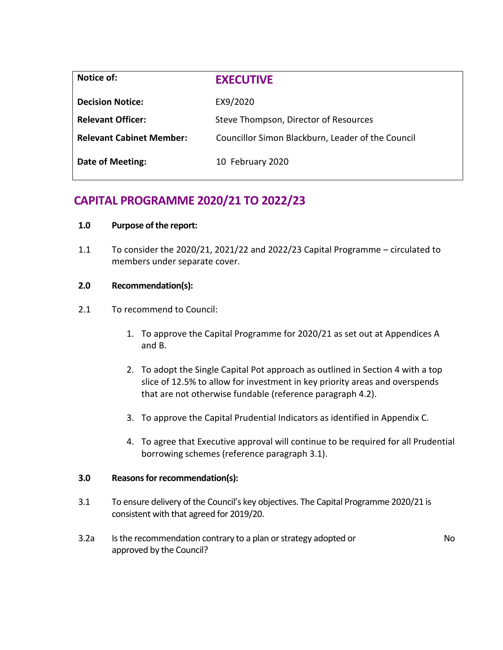| Notice of:                      | <b>EXECUTIVE</b>                                  |
|---------------------------------|---------------------------------------------------|
| <b>Decision Notice:</b>         | EX9/2020                                          |
| <b>Relevant Officer:</b>        | Steve Thompson, Director of Resources             |
| <b>Relevant Cabinet Member:</b> | Councillor Simon Blackburn, Leader of the Council |
| <b>Date of Meeting:</b>         | 10 February 2020                                  |

# **CAPITAL PROGRAMME 2020/21 TO 2022/23**

# **1.0 Purpose of the report:**

1.1 To consider the 2020/21, 2021/22 and 2022/23 Capital Programme – circulated to members under separate cover.

# **2.0 Recommendation(s):**

- 2.1 To recommend to Council:
	- 1. To approve the Capital Programme for 2020/21 as set out at Appendices A and B.
	- 2. To adopt the Single Capital Pot approach as outlined in Section 4 with a top slice of 12.5% to allow for investment in key priority areas and overspends that are not otherwise fundable (reference paragraph 4.2).
	- 3. To approve the Capital Prudential Indicators as identified in Appendix C.
	- 4. To agree that Executive approval will continue to be required for all Prudential borrowing schemes (reference paragraph 3.1).

## **3.0 Reasons for recommendation(s):**

- 3.1 To ensure delivery of the Council's key objectives. The Capital Programme 2020/21 is consistent with that agreed for 2019/20.
- 3.2a Is the recommendation contrary to a plan or strategy adopted or approved by the Council?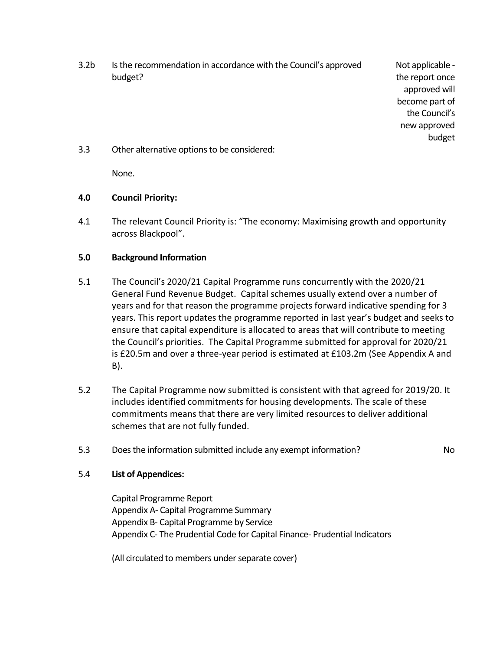3.2b Is the recommendation in accordance with the Council's approved budget?

Not applicable the report once approved will become part of the Council's new approved budget

3.3 Other alternative options to be considered:

None.

# **4.0 Council Priority:**

4.1 The relevant Council Priority is: "The economy: Maximising growth and opportunity across Blackpool".

# **5.0 Background Information**

- 5.1 The Council's 2020/21 Capital Programme runs concurrently with the 2020/21 General Fund Revenue Budget. Capital schemes usually extend over a number of years and for that reason the programme projects forward indicative spending for 3 years. This report updates the programme reported in last year's budget and seeks to ensure that capital expenditure is allocated to areas that will contribute to meeting the Council's priorities. The Capital Programme submitted for approval for 2020/21 is £20.5m and over a three-year period is estimated at £103.2m (See Appendix A and B).
- 5.2 The Capital Programme now submitted is consistent with that agreed for 2019/20. It includes identified commitments for housing developments. The scale of these commitments means that there are very limited resources to deliver additional schemes that are not fully funded.
- 5.3 Does the information submitted include any exempt information? No

## 5.4 **List of Appendices:**

Capital Programme Report Appendix A- Capital Programme Summary Appendix B- Capital Programme by Service Appendix C- The Prudential Code for Capital Finance- Prudential Indicators

(All circulated to members under separate cover)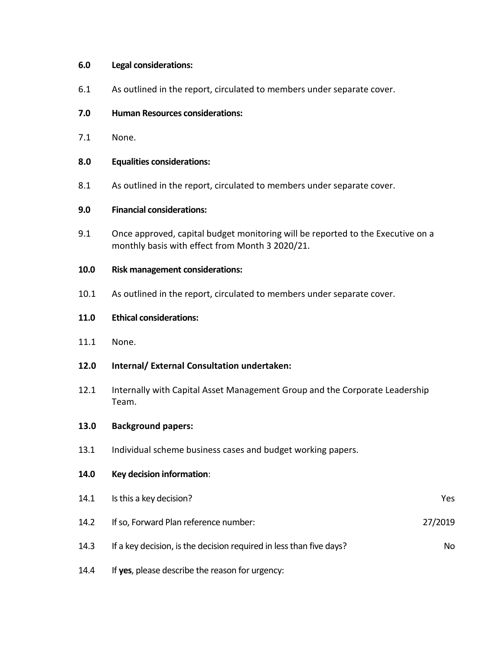## **6.0 Legal considerations:**

- 6.1 As outlined in the report, circulated to members under separate cover.
- **7.0 Human Resources considerations:**
- 7.1 None.
- **8.0 Equalities considerations:**
- 8.1 As outlined in the report, circulated to members under separate cover.

## **9.0 Financial considerations:**

- 9.1 Once approved, capital budget monitoring will be reported to the Executive on a monthly basis with effect from Month 3 2020/21.
- **10.0 Risk management considerations:**
- 10.1 As outlined in the report, circulated to members under separate cover.

## **11.0 Ethical considerations:**

- 11.1 None.
- **12.0 Internal/ External Consultation undertaken:**
- 12.1 Internally with Capital Asset Management Group and the Corporate Leadership Team.

#### **13.0 Background papers:**

13.1 Individual scheme business cases and budget working papers.

## **14.0 Key decision information**:

| 14.1 | Is this a key decision?                                             | Yes.    |
|------|---------------------------------------------------------------------|---------|
| 14.2 | If so, Forward Plan reference number:                               | 27/2019 |
| 14.3 | If a key decision, is the decision required in less than five days? | No.     |
| 14.4 | If yes, please describe the reason for urgency:                     |         |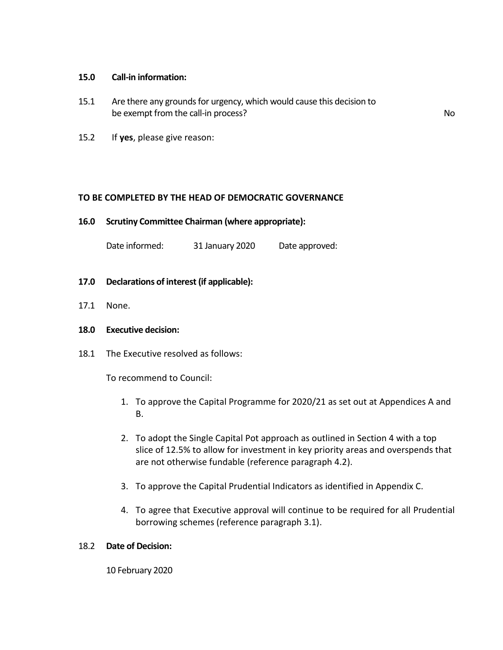#### **15.0 Call-in information:**

- 15.1 Are there any grounds for urgency, which would cause this decision to be exempt from the call-in process? No
	-

15.2 If **yes**, please give reason:

## **TO BE COMPLETED BY THE HEAD OF DEMOCRATIC GOVERNANCE**

**16.0 Scrutiny Committee Chairman (where appropriate):**

Date informed: 31 January 2020 Date approved:

## **17.0 Declarations of interest (if applicable):**

17.1 None.

## **18.0 Executive decision:**

18.1 The Executive resolved as follows:

To recommend to Council:

- 1. To approve the Capital Programme for 2020/21 as set out at Appendices A and B.
- 2. To adopt the Single Capital Pot approach as outlined in Section 4 with a top slice of 12.5% to allow for investment in key priority areas and overspends that are not otherwise fundable (reference paragraph 4.2).
- 3. To approve the Capital Prudential Indicators as identified in Appendix C.
- 4. To agree that Executive approval will continue to be required for all Prudential borrowing schemes (reference paragraph 3.1).

## 18.2 **Date of Decision:**

10 February 2020